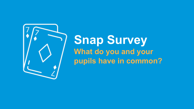

**Snap Survey What do you and your pupils have in common?**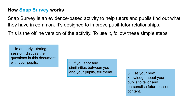#### **How Snap Survey works**

Snap Survey is an evidence-based activity to help tutors and pupils find out what they have in common. It's designed to improve pupil-tutor relationships.

This is the offline version of the activity. To use it, follow these simple steps:

1. In an early tutoring session, discuss the questions in this document with your pupils. 2. If you spot any

similarities between you and your pupils, tell them! 3. Use your new

knowledge about your pupils to tailor and personalise future lesson content.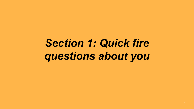# *Section 1: Quick fire questions about you*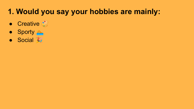#### **1. Would you say your hobbies are mainly:**

- Creative &
- Sporty
- Social &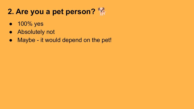### **2. Are you a pet person?**

- 100% yes
- Absolutely not
- Maybe it would depend on the pet!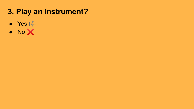#### **3. Play an instrument?**

- Yes **库**
- No ╳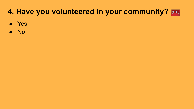#### **4. Have you volunteered in your community?**

- Yes
- No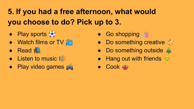# **5. If you had a free afternoon, what would you choose to do? Pick up to 3.**

- Play sports
- $\bullet$  Watch films or TV
- Read |■
- Listen to music  $\mathbf{E}$
- Play video games
- Go shopping <del>o</del>n
- Do something creative  $\mathscr{E}_{\mathscr{E}}$
- Do something outside  $\triangleq$
- $\bullet$  Hang out with friends  $\circlearrowright$
- Cook <del>◎</del>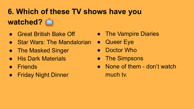# **6. Which of these TV shows have you watched?**

- Great British Bake Off
- Star Wars: The Mandalorian
- The Masked Singer
- **His Dark Materials**
- Friends
- Friday Night Dinner
- The Vampire Diaries
- Queer Eye
- Doctor Who
- The Simpsons
- None of them don't watch much tv.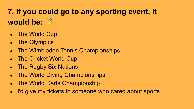# **7. If you could go to any sporting event, it would be:**

- The World Cup
- The Olympics
- The Wimbledon Tennis Championships
- The Cricket World Cup
- The Rugby Six Nations
- **The World Diving Championships**
- The World Darts Championship
- I'd give my tickets to someone who cared about sports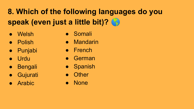# **8. Which of the following languages do you speak (even just a little bit)?**

- Welsh
- Polish
- Punjabi
- Urdu
- Bengali
- Gujurati
- **Arabic**
- Somali
- Mandarin
- French
- German
- Spanish
- **Other**
- None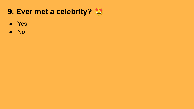#### **9. Ever met a celebrity?**

- Yes
- No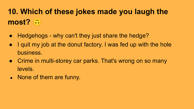# **10. Which of these jokes made you laugh the most?**

- Hedgehogs why can't they just share the hedge?
- I quit my job at the donut factory. I was fed up with the hole business.
- Crime in multi-storey car parks. That's wrong on so many levels.
- None of them are funny.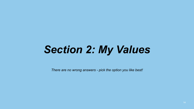# *Section 2: My Values*

*There are no wrong answers - pick the option you like best!*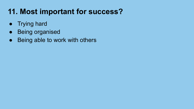#### **11. Most important for success?**

- Trying hard
- Being organised
- Being able to work with others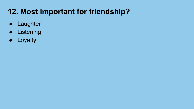#### **12. Most important for friendship?**

- Laughter
- Listening
- Loyalty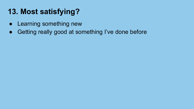### **13. Most satisfying?**

- Learning something new
- Getting really good at something I've done before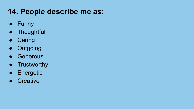#### **14. People describe me as:**

- Funny
- Thoughtful
- Caring
- Outgoing
- Generous
- Trustworthy
- Energetic
- Creative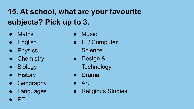# **15. At school, what are your favourite subjects? Pick up to 3.**

- Maths
- English
- Physics
- Chemistry
- Biology
- History
- Geography
- Languages
- PE
- **Music**
- IT / Computer **Science**
- Design &
	- **Technology**
- **Drama**
- Art
- **Religious Studies**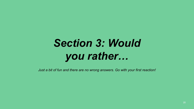# *Section 3: Would you rather…*

*Just a bit of fun and there are no wrong answers. Go with your first reaction!*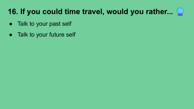### **16. If you could time travel, would you rather...**

- Talk to your past self
- Talk to your future self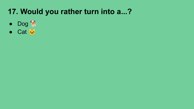#### **17. Would you rather turn into a...?**

- Dog 常
- Cat &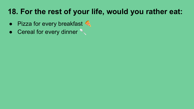#### **18. For the rest of your life, would you rather eat:**

- $\bullet$  Pizza for every breakfast  $\bullet$
- Cereal for every dinner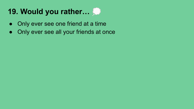#### **19. Would you rather…**

- Only ever see one friend at a time
- Only ever see all your friends at once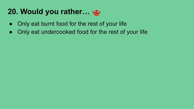#### **20. Would you rather…**

- Only eat burnt food for the rest of your life
- Only eat undercooked food for the rest of your life